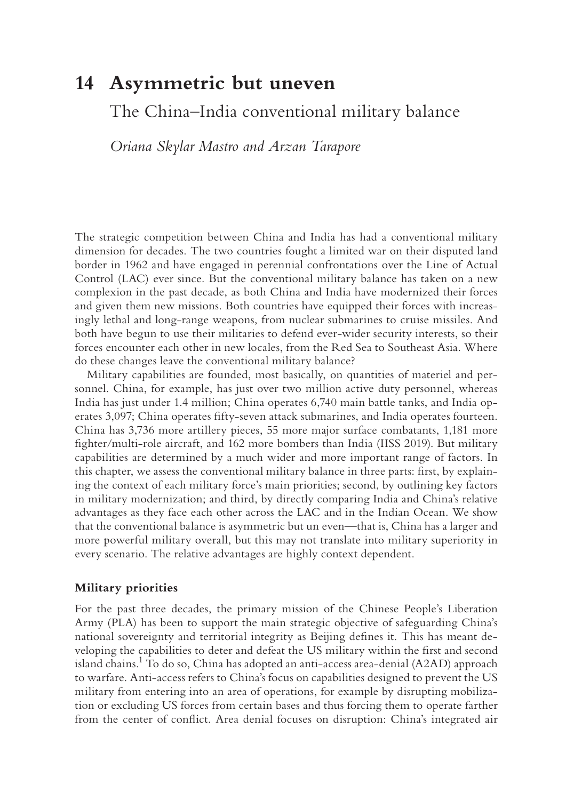# <span id="page-0-0"></span>**14 Asymmetric but uneven**

The China–India conventional military balance

*Oriana Skylar Mastro and Arzan Tarapore*

The strategic competition between China and India has had a conventional military dimension for decades. The two countries fought a limited war on their disputed land border in 1962 and have engaged in perennial confrontations over the Line of Actual Control (LAC) ever since. But the conventional military balance has taken on a new complexion in the past decade, as both China and India have modernized their forces and given them new missions. Both countries have equipped their forces with increasingly lethal and long-range weapons, from nuclear submarines to cruise missiles. And both have begun to use their militaries to defend ever-wider security interests, so their forces encounter each other in new locales, from the Red Sea to Southeast Asia. Where do these changes leave the conventional military balance?

Military capabilities are founded, most basically, on quantities of materiel and personnel. China, for example, has just over two million active duty personnel, whereas India has just under 1.4 million; China operates 6,740 main battle tanks, and India operates 3,097; China operates fifty-seven attack submarines, and India operates fourteen. China has 3,736 more artillery pieces, 55 more major surface combatants, 1,181 more fighter/multi-role aircraft, and 162 more bombers than India (IISS 2019). But military capabilities are determined by a much wider and more important range of factors. In this chapter, we assess the conventional military balance in three parts: first, by explaining the context of each military force's main priorities; second, by outlining key factors in military modernization; and third, by directly comparing India and China's relative advantages as they face each other across the LAC and in the Indian Ocean. We show that the conventional balance is asymmetric but un even—that is, China has a larger and more powerful military overall, but this may not translate into military superiority in every scenario. The relative advantages are highly context dependent.

## **Military priorities**

For the past three decades, the primary mission of the Chinese People's Liberation Army (PLA) has been to support the main strategic objective of safeguarding China's national sovereignty and territorial integrity as Beijing defines it. This has meant developing the capabilities to deter and defeat the US military within the first and second island chains.<sup>1</sup> To do so, China has adopted an anti-access area-denial (A2AD) approach to warfare. Anti-access refers to China's focus on capabilities designed to prevent the US military from entering into an area of operations, for example by disrupting mobilization or excluding US forces from certain bases and thus forcing them to operate farther from the center of conflict. Area denial focuses on disruption: China's integrated air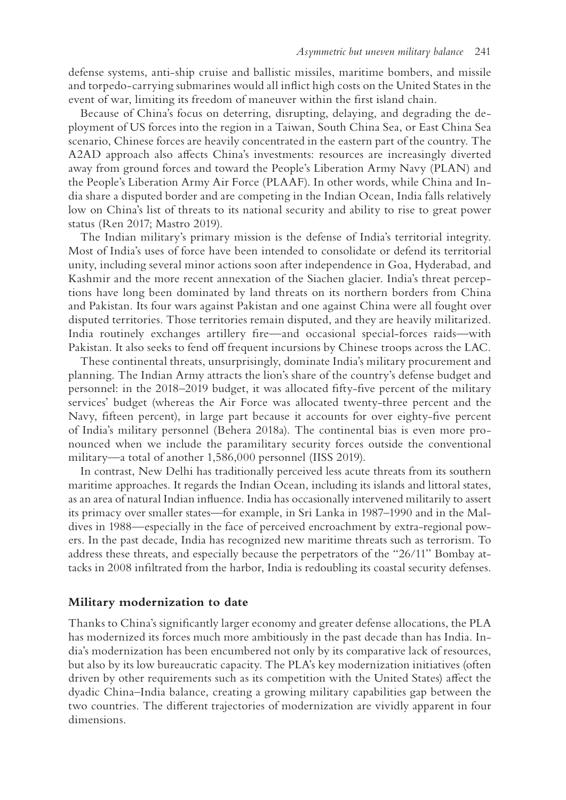defense systems, anti-ship cruise and ballistic missiles, maritime bombers, and missile and torpedo-carrying submarines would all inflict high costs on the United States in the event of war, limiting its freedom of maneuver within the first island chain.

Because of China's focus on deterring, disrupting, delaying, and degrading the deployment of US forces into the region in a Taiwan, South China Sea, or East China Sea scenario, Chinese forces are heavily concentrated in the eastern part of the country. The A2AD approach also affects China's investments: resources are increasingly diverted away from ground forces and toward the People's Liberation Army Navy (PLAN) and the People's Liberation Army Air Force (PLAAF). In other words, while China and India share a disputed border and are competing in the Indian Ocean, India falls relatively low on China's list of threats to its national security and ability to rise to great power status (Ren 2017; Mastro 2019).

The Indian military's primary mission is the defense of India's territorial integrity. Most of India's uses of force have been intended to consolidate or defend its territorial unity, including several minor actions soon after independence in Goa, Hyderabad, and Kashmir and the more recent annexation of the Siachen glacier. India's threat perceptions have long been dominated by land threats on its northern borders from China and Pakistan. Its four wars against Pakistan and one against China were all fought over disputed territories. Those territories remain disputed, and they are heavily militarized. India routinely exchanges artillery fire—and occasional special-forces raids—with Pakistan. It also seeks to fend off frequent incursions by Chinese troops across the LAC.

These continental threats, unsurprisingly, dominate India's military procurement and planning. The Indian Army attracts the lion's share of the country's defense budget and personnel: in the 2018–2019 budget, it was allocated fifty-five percent of the military services' budget (whereas the Air Force was allocated twenty-three percent and the Navy, fifteen percent), in large part because it accounts for over eighty-five percent of India's military personnel (Behera 2018a). The continental bias is even more pronounced when we include the paramilitary security forces outside the conventional military—a total of another 1,586,000 personnel (IISS 2019).

In contrast, New Delhi has traditionally perceived less acute threats from its southern maritime approaches. It regards the Indian Ocean, including its islands and littoral states, as an area of natural Indian influence. India has occasionally intervened militarily to assert its primacy over smaller states—for example, in Sri Lanka in 1987–1990 and in the Maldives in 1988—especially in the face of perceived encroachment by extra-regional powers. In the past decade, India has recognized new maritime threats such as terrorism. To address these threats, and especially because the perpetrators of the "26/11" Bombay attacks in 2008 infiltrated from the harbor, India is redoubling its coastal security defenses.

## **Military modernization to date**

Thanks to China's significantly larger economy and greater defense allocations, the PLA has modernized its forces much more ambitiously in the past decade than has India. India's modernization has been encumbered not only by its comparative lack of resources, but also by its low bureaucratic capacity. The PLA's key modernization initiatives (often driven by other requirements such as its competition with the United States) affect the dyadic China–India balance, creating a growing military capabilities gap between the two countries. The different trajectories of modernization are vividly apparent in four dimensions.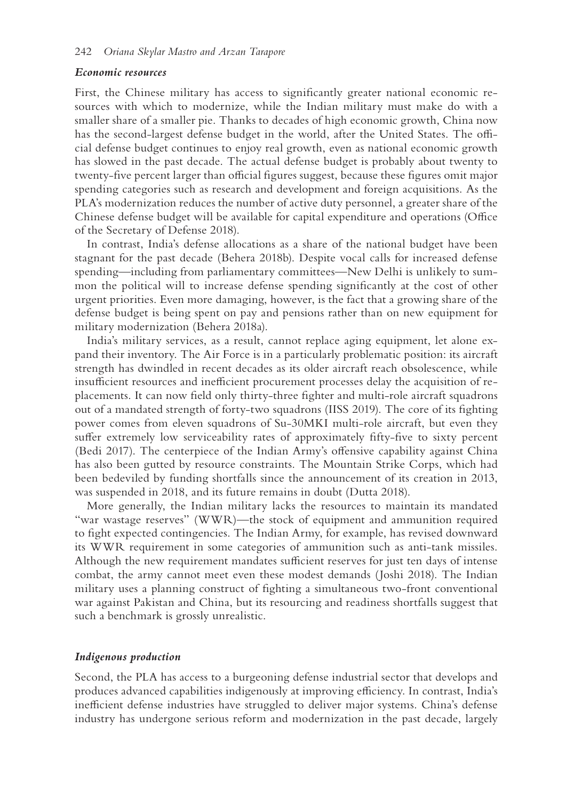#### *Economic resources*

First, the Chinese military has access to significantly greater national economic resources with which to modernize, while the Indian military must make do with a smaller share of a smaller pie. Thanks to decades of high economic growth, China now has the second-largest defense budget in the world, after the United States. The official defense budget continues to enjoy real growth, even as national economic growth has slowed in the past decade. The actual defense budget is probably about twenty to twenty-five percent larger than official figures suggest, because these figures omit major spending categories such as research and development and foreign acquisitions. As the PLA's modernization reduces the number of active duty personnel, a greater share of the Chinese defense budget will be available for capital expenditure and operations (Office of the Secretary of Defense 2018).

In contrast, India's defense allocations as a share of the national budget have been stagnant for the past decade (Behera 2018b). Despite vocal calls for increased defense spending—including from parliamentary committees—New Delhi is unlikely to summon the political will to increase defense spending significantly at the cost of other urgent priorities. Even more damaging, however, is the fact that a growing share of the defense budget is being spent on pay and pensions rather than on new equipment for military modernization (Behera 2018a).

India's military services, as a result, cannot replace aging equipment, let alone expand their inventory. The Air Force is in a particularly problematic position: its aircraft strength has dwindled in recent decades as its older aircraft reach obsolescence, while insufficient resources and inefficient procurement processes delay the acquisition of replacements. It can now field only thirty-three fighter and multi-role aircraft squadrons out of a mandated strength of forty-two squadrons (IISS 2019). The core of its fighting power comes from eleven squadrons of Su-30MKI multi-role aircraft, but even they suffer extremely low serviceability rates of approximately fifty-five to sixty percent (Bedi 2017). The centerpiece of the Indian Army's offensive capability against China has also been gutted by resource constraints. The Mountain Strike Corps, which had been bedeviled by funding shortfalls since the announcement of its creation in 2013, was suspended in 2018, and its future remains in doubt (Dutta 2018).

More generally, the Indian military lacks the resources to maintain its mandated "war wastage reserves" (WWR)—the stock of equipment and ammunition required to fight expected contingencies. The Indian Army, for example, has revised downward its WWR requirement in some categories of ammunition such as anti-tank missiles. Although the new requirement mandates sufficient reserves for just ten days of intense combat, the army cannot meet even these modest demands (Joshi 2018). The Indian military uses a planning construct of fighting a simultaneous two-front conventional war against Pakistan and China, but its resourcing and readiness shortfalls suggest that such a benchmark is grossly unrealistic.

## *Indigenous production*

Second, the PLA has access to a burgeoning defense industrial sector that develops and produces advanced capabilities indigenously at improving efficiency. In contrast, India's inefficient defense industries have struggled to deliver major systems. China's defense industry has undergone serious reform and modernization in the past decade, largely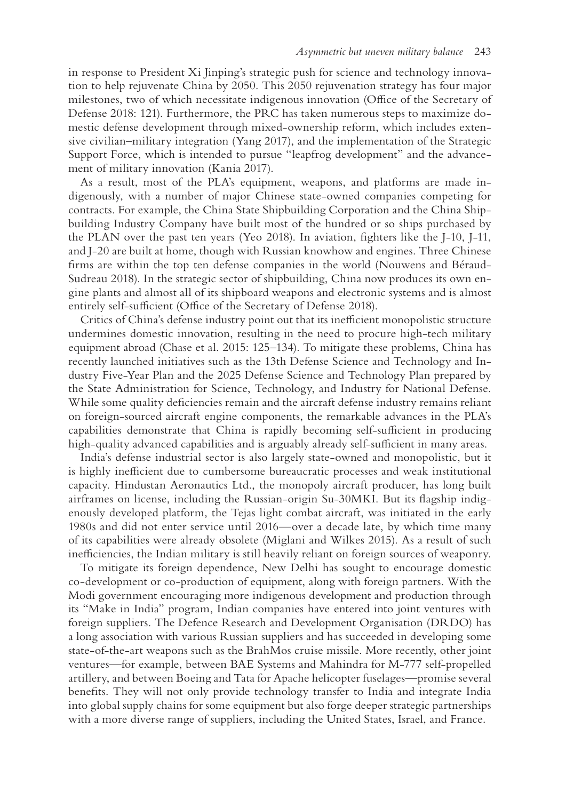in response to President Xi Jinping's strategic push for science and technology innovation to help rejuvenate China by 2050. This 2050 rejuvenation strategy has four major milestones, two of which necessitate indigenous innovation (Office of the Secretary of Defense 2018: 121). Furthermore, the PRC has taken numerous steps to maximize domestic defense development through mixed-ownership reform, which includes extensive civilian–military integration (Yang 2017), and the implementation of the Strategic Support Force, which is intended to pursue "leapfrog development" and the advancement of military innovation (Kania 2017).

As a result, most of the PLA's equipment, weapons, and platforms are made indigenously, with a number of major Chinese state-owned companies competing for contracts. For example, the China State Shipbuilding Corporation and the China Shipbuilding Industry Company have built most of the hundred or so ships purchased by the PLAN over the past ten years (Yeo 2018). In aviation, fighters like the J-10, J-11, and J-20 are built at home, though with Russian knowhow and engines. Three Chinese firms are within the top ten defense companies in the world (Nouwens and Béraud-Sudreau 2018). In the strategic sector of shipbuilding, China now produces its own engine plants and almost all of its shipboard weapons and electronic systems and is almost entirely self-sufficient (Office of the Secretary of Defense 2018).

Critics of China's defense industry point out that its inefficient monopolistic structure undermines domestic innovation, resulting in the need to procure high-tech military equipment abroad (Chase et al. 2015: 125–134). To mitigate these problems, China has recently launched initiatives such as the 13th Defense Science and Technology and Industry Five-Year Plan and the 2025 Defense Science and Technology Plan prepared by the State Administration for Science, Technology, and Industry for National Defense. While some quality deficiencies remain and the aircraft defense industry remains reliant on foreign-sourced aircraft engine components, the remarkable advances in the PLA's capabilities demonstrate that China is rapidly becoming self-sufficient in producing high-quality advanced capabilities and is arguably already self-sufficient in many areas.

India's defense industrial sector is also largely state-owned and monopolistic, but it is highly inefficient due to cumbersome bureaucratic processes and weak institutional capacity. Hindustan Aeronautics Ltd., the monopoly aircraft producer, has long built airframes on license, including the Russian-origin Su-30MKI. But its flagship indigenously developed platform, the Tejas light combat aircraft, was initiated in the early 1980s and did not enter service until 2016—over a decade late, by which time many of its capabilities were already obsolete (Miglani and Wilkes 2015). As a result of such inefficiencies, the Indian military is still heavily reliant on foreign sources of weaponry.

To mitigate its foreign dependence, New Delhi has sought to encourage domestic co-development or co-production of equipment, along with foreign partners. With the Modi government encouraging more indigenous development and production through its "Make in India" program, Indian companies have entered into joint ventures with foreign suppliers. The Defence Research and Development Organisation (DRDO) has a long association with various Russian suppliers and has succeeded in developing some state-of-the-art weapons such as the BrahMos cruise missile. More recently, other joint ventures—for example, between BAE Systems and Mahindra for M-777 self-propelled artillery, and between Boeing and Tata for Apache helicopter fuselages—promise several benefits. They will not only provide technology transfer to India and integrate India into global supply chains for some equipment but also forge deeper strategic partnerships with a more diverse range of suppliers, including the United States, Israel, and France.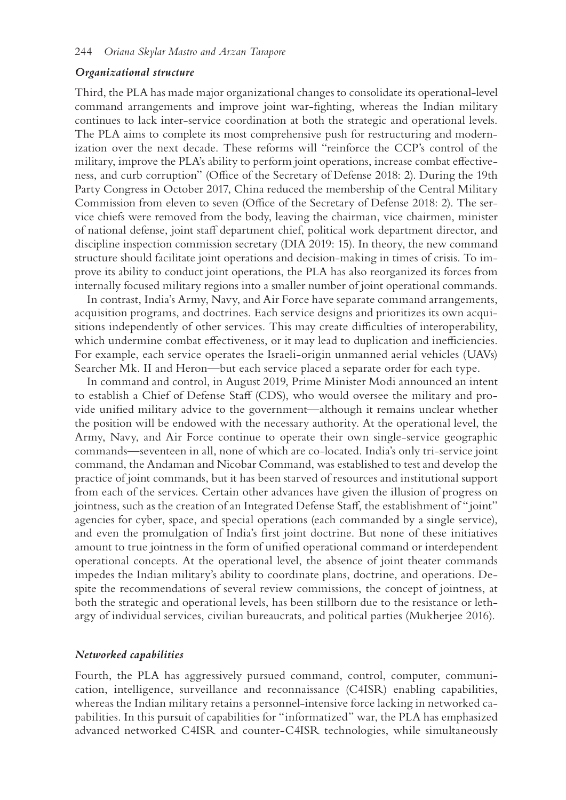#### *Organizational structure*

Third, the PLA has made major organizational changes to consolidate its operational-level command arrangements and improve joint war-fighting, whereas the Indian military continues to lack inter-service coordination at both the strategic and operational levels. The PLA aims to complete its most comprehensive push for restructuring and modernization over the next decade. These reforms will "reinforce the CCP's control of the military, improve the PLA's ability to perform joint operations, increase combat effectiveness, and curb corruption" (Office of the Secretary of Defense 2018: 2). During the 19th Party Congress in October 2017, China reduced the membership of the Central Military Commission from eleven to seven (Office of the Secretary of Defense 2018: 2). The service chiefs were removed from the body, leaving the chairman, vice chairmen, minister of national defense, joint staff department chief, political work department director, and discipline inspection commission secretary (DIA 2019: 15). In theory, the new command structure should facilitate joint operations and decision-making in times of crisis. To improve its ability to conduct joint operations, the PLA has also reorganized its forces from internally focused military regions into a smaller number of joint operational commands.

In contrast, India's Army, Navy, and Air Force have separate command arrangements, acquisition programs, and doctrines. Each service designs and prioritizes its own acquisitions independently of other services. This may create difficulties of interoperability, which undermine combat effectiveness, or it may lead to duplication and inefficiencies. For example, each service operates the Israeli-origin unmanned aerial vehicles (UAVs) Searcher Mk. II and Heron—but each service placed a separate order for each type.

In command and control, in August 2019, Prime Minister Modi announced an intent to establish a Chief of Defense Staff (CDS), who would oversee the military and provide unified military advice to the government—although it remains unclear whether the position will be endowed with the necessary authority. At the operational level, the Army, Navy, and Air Force continue to operate their own single-service geographic commands—seventeen in all, none of which are co-located. India's only tri-service joint command, the Andaman and Nicobar Command, was established to test and develop the practice of joint commands, but it has been starved of resources and institutional support from each of the services. Certain other advances have given the illusion of progress on jointness, such as the creation of an Integrated Defense Staff, the establishment of "joint" agencies for cyber, space, and special operations (each commanded by a single service), and even the promulgation of India's first joint doctrine. But none of these initiatives amount to true jointness in the form of unified operational command or interdependent operational concepts. At the operational level, the absence of joint theater commands impedes the Indian military's ability to coordinate plans, doctrine, and operations. Despite the recommendations of several review commissions, the concept of jointness, at both the strategic and operational levels, has been stillborn due to the resistance or lethargy of individual services, civilian bureaucrats, and political parties (Mukherjee 2016).

#### *Networked capabilities*

Fourth, the PLA has aggressively pursued command, control, computer, communication, intelligence, surveillance and reconnaissance (C4ISR) enabling capabilities, whereas the Indian military retains a personnel-intensive force lacking in networked capabilities. In this pursuit of capabilities for "informatized" war, the PLA has emphasized advanced networked C4ISR and counter-C4ISR technologies, while simultaneously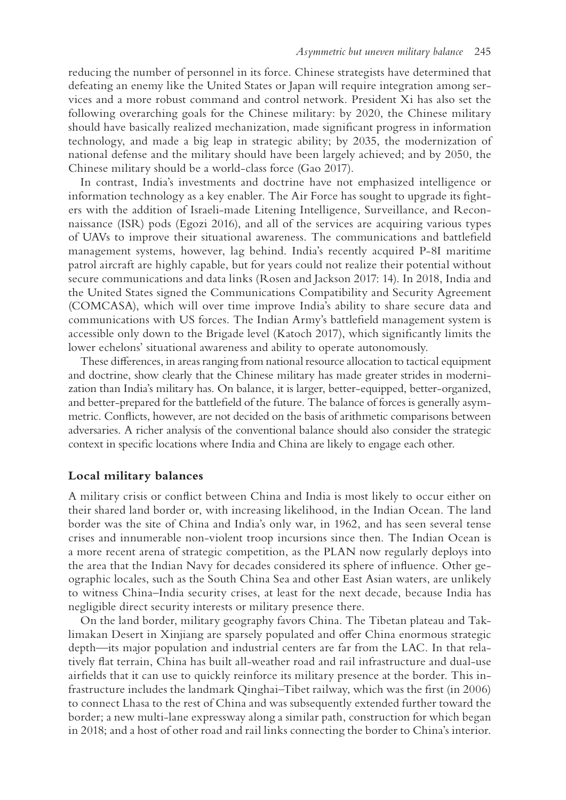reducing the number of personnel in its force. Chinese strategists have determined that defeating an enemy like the United States or Japan will require integration among services and a more robust command and control network. President Xi has also set the following overarching goals for the Chinese military: by 2020, the Chinese military should have basically realized mechanization, made significant progress in information technology, and made a big leap in strategic ability; by 2035, the modernization of national defense and the military should have been largely achieved; and by 2050, the Chinese military should be a world-class force (Gao 2017).

In contrast, India's investments and doctrine have not emphasized intelligence or information technology as a key enabler. The Air Force has sought to upgrade its fighters with the addition of Israeli-made Litening Intelligence, Surveillance, and Reconnaissance (ISR) pods (Egozi 2016), and all of the services are acquiring various types of UAVs to improve their situational awareness. The communications and battlefield management systems, however, lag behind. India's recently acquired P-8I maritime patrol aircraft are highly capable, but for years could not realize their potential without secure communications and data links (Rosen and Jackson 2017: 14). In 2018, India and the United States signed the Communications Compatibility and Security Agreement (COMCASA), which will over time improve India's ability to share secure data and communications with US forces. The Indian Army's battlefield management system is accessible only down to the Brigade level (Katoch 2017), which significantly limits the lower echelons' situational awareness and ability to operate autonomously.

These differences, in areas ranging from national resource allocation to tactical equipment and doctrine, show clearly that the Chinese military has made greater strides in modernization than India's military has. On balance, it is larger, better-equipped, better-organized, and better-prepared for the battlefield of the future. The balance of forces is generally asymmetric. Conflicts, however, are not decided on the basis of arithmetic comparisons between adversaries. A richer analysis of the conventional balance should also consider the strategic context in specific locations where India and China are likely to engage each other.

# **Local military balances**

A military crisis or conflict between China and India is most likely to occur either on their shared land border or, with increasing likelihood, in the Indian Ocean. The land border was the site of China and India's only war, in 1962, and has seen several tense crises and innumerable non-violent troop incursions since then. The Indian Ocean is a more recent arena of strategic competition, as the PLAN now regularly deploys into the area that the Indian Navy for decades considered its sphere of influence. Other geographic locales, such as the South China Sea and other East Asian waters, are unlikely to witness China–India security crises, at least for the next decade, because India has negligible direct security interests or military presence there.

On the land border, military geography favors China. The Tibetan plateau and Taklimakan Desert in Xinjiang are sparsely populated and offer China enormous strategic depth—its major population and industrial centers are far from the LAC. In that relatively flat terrain, China has built all-weather road and rail infrastructure and dual-use airfields that it can use to quickly reinforce its military presence at the border. This infrastructure includes the landmark Qinghai–Tibet railway, which was the first (in 2006) to connect Lhasa to the rest of China and was subsequently extended further toward the border; a new multi-lane expressway along a similar path, construction for which began in 2018; and a host of other road and rail links connecting the border to China's interior.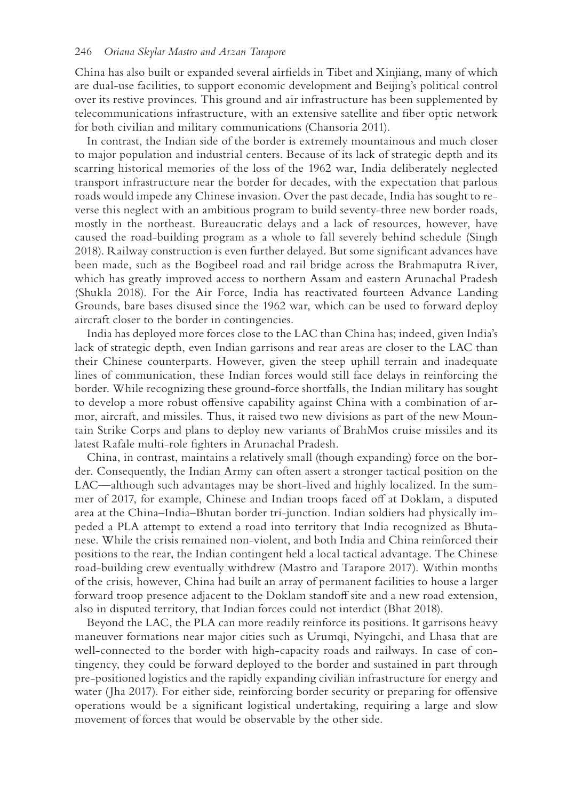China has also built or expanded several airfields in Tibet and Xinjiang, many of which are dual-use facilities, to support economic development and Beijing's political control over its restive provinces. This ground and air infrastructure has been supplemented by telecommunications infrastructure, with an extensive satellite and fiber optic network for both civilian and military communications (Chansoria 2011).

In contrast, the Indian side of the border is extremely mountainous and much closer to major population and industrial centers. Because of its lack of strategic depth and its scarring historical memories of the loss of the 1962 war, India deliberately neglected transport infrastructure near the border for decades, with the expectation that parlous roads would impede any Chinese invasion. Over the past decade, India has sought to reverse this neglect with an ambitious program to build seventy-three new border roads, mostly in the northeast. Bureaucratic delays and a lack of resources, however, have caused the road-building program as a whole to fall severely behind schedule (Singh 2018). Railway construction is even further delayed. But some significant advances have been made, such as the Bogibeel road and rail bridge across the Brahmaputra River, which has greatly improved access to northern Assam and eastern Arunachal Pradesh (Shukla 2018). For the Air Force, India has reactivated fourteen Advance Landing Grounds, bare bases disused since the 1962 war, which can be used to forward deploy aircraft closer to the border in contingencies.

India has deployed more forces close to the LAC than China has; indeed, given India's lack of strategic depth, even Indian garrisons and rear areas are closer to the LAC than their Chinese counterparts. However, given the steep uphill terrain and inadequate lines of communication, these Indian forces would still face delays in reinforcing the border. While recognizing these ground-force shortfalls, the Indian military has sought to develop a more robust offensive capability against China with a combination of armor, aircraft, and missiles. Thus, it raised two new divisions as part of the new Mountain Strike Corps and plans to deploy new variants of BrahMos cruise missiles and its latest Rafale multi-role fighters in Arunachal Pradesh.

China, in contrast, maintains a relatively small (though expanding) force on the border. Consequently, the Indian Army can often assert a stronger tactical position on the LAC—although such advantages may be short-lived and highly localized. In the summer of 2017, for example, Chinese and Indian troops faced off at Doklam, a disputed area at the China–India–Bhutan border tri-junction. Indian soldiers had physically impeded a PLA attempt to extend a road into territory that India recognized as Bhutanese. While the crisis remained non-violent, and both India and China reinforced their positions to the rear, the Indian contingent held a local tactical advantage. The Chinese road-building crew eventually withdrew (Mastro and Tarapore 2017). Within months of the crisis, however, China had built an array of permanent facilities to house a larger forward troop presence adjacent to the Doklam standoff site and a new road extension, also in disputed territory, that Indian forces could not interdict (Bhat 2018).

Beyond the LAC, the PLA can more readily reinforce its positions. It garrisons heavy maneuver formations near major cities such as Urumqi, Nyingchi, and Lhasa that are well-connected to the border with high-capacity roads and railways. In case of contingency, they could be forward deployed to the border and sustained in part through pre-positioned logistics and the rapidly expanding civilian infrastructure for energy and water (Jha 2017). For either side, reinforcing border security or preparing for offensive operations would be a significant logistical undertaking, requiring a large and slow movement of forces that would be observable by the other side.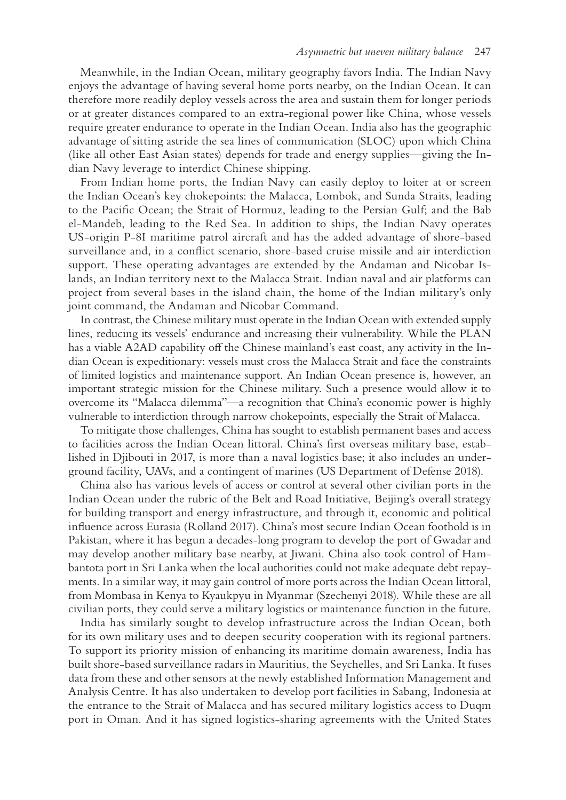Meanwhile, in the Indian Ocean, military geography favors India. The Indian Navy enjoys the advantage of having several home ports nearby, on the Indian Ocean. It can therefore more readily deploy vessels across the area and sustain them for longer periods or at greater distances compared to an extra-regional power like China, whose vessels require greater endurance to operate in the Indian Ocean. India also has the geographic advantage of sitting astride the sea lines of communication (SLOC) upon which China (like all other East Asian states) depends for trade and energy supplies—giving the Indian Navy leverage to interdict Chinese shipping.

From Indian home ports, the Indian Navy can easily deploy to loiter at or screen the Indian Ocean's key chokepoints: the Malacca, Lombok, and Sunda Straits, leading to the Pacific Ocean; the Strait of Hormuz, leading to the Persian Gulf; and the Bab el-Mandeb, leading to the Red Sea. In addition to ships, the Indian Navy operates US-origin P-8I maritime patrol aircraft and has the added advantage of shore-based surveillance and, in a conflict scenario, shore-based cruise missile and air interdiction support. These operating advantages are extended by the Andaman and Nicobar Islands, an Indian territory next to the Malacca Strait. Indian naval and air platforms can project from several bases in the island chain, the home of the Indian military's only joint command, the Andaman and Nicobar Command.

In contrast, the Chinese military must operate in the Indian Ocean with extended supply lines, reducing its vessels' endurance and increasing their vulnerability. While the PLAN has a viable A2AD capability off the Chinese mainland's east coast, any activity in the Indian Ocean is expeditionary: vessels must cross the Malacca Strait and face the constraints of limited logistics and maintenance support. An Indian Ocean presence is, however, an important strategic mission for the Chinese military. Such a presence would allow it to overcome its "Malacca dilemma"—a recognition that China's economic power is highly vulnerable to interdiction through narrow chokepoints, especially the Strait of Malacca.

To mitigate those challenges, China has sought to establish permanent bases and access to facilities across the Indian Ocean littoral. China's first overseas military base, established in Djibouti in 2017, is more than a naval logistics base; it also includes an underground facility, UAVs, and a contingent of marines (US Department of Defense 2018).

China also has various levels of access or control at several other civilian ports in the Indian Ocean under the rubric of the Belt and Road Initiative, Beijing's overall strategy for building transport and energy infrastructure, and through it, economic and political influence across Eurasia (Rolland 2017). China's most secure Indian Ocean foothold is in Pakistan, where it has begun a decades-long program to develop the port of Gwadar and may develop another military base nearby, at Jiwani. China also took control of Hambantota port in Sri Lanka when the local authorities could not make adequate debt repayments. In a similar way, it may gain control of more ports across the Indian Ocean littoral, from Mombasa in Kenya to Kyaukpyu in Myanmar (Szechenyi 2018). While these are all civilian ports, they could serve a military logistics or maintenance function in the future.

India has similarly sought to develop infrastructure across the Indian Ocean, both for its own military uses and to deepen security cooperation with its regional partners. To support its priority mission of enhancing its maritime domain awareness, India has built shore-based surveillance radars in Mauritius, the Seychelles, and Sri Lanka. It fuses data from these and other sensors at the newly established Information Management and Analysis Centre. It has also undertaken to develop port facilities in Sabang, Indonesia at the entrance to the Strait of Malacca and has secured military logistics access to Duqm port in Oman. And it has signed logistics-sharing agreements with the United States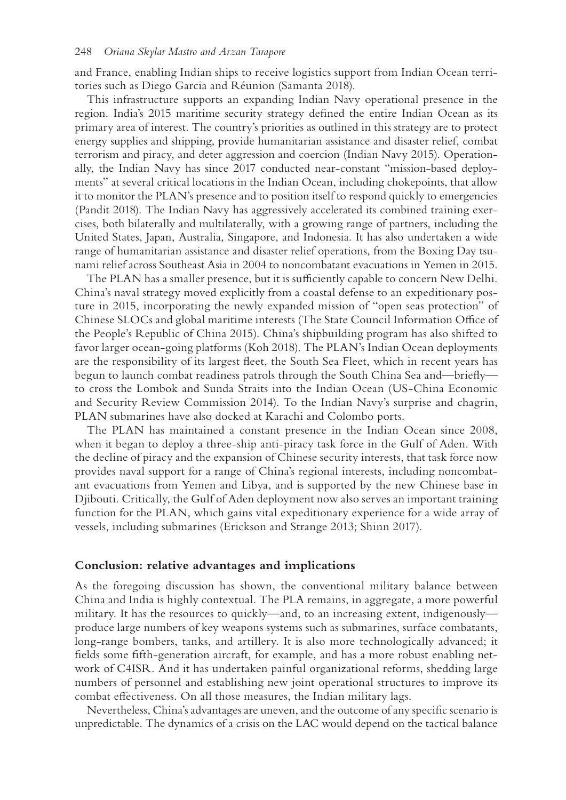and France, enabling Indian ships to receive logistics support from Indian Ocean territories such as Diego Garcia and Réunion (Samanta 2018).

This infrastructure supports an expanding Indian Navy operational presence in the region. India's 2015 maritime security strategy defined the entire Indian Ocean as its primary area of interest. The country's priorities as outlined in this strategy are to protect energy supplies and shipping, provide humanitarian assistance and disaster relief, combat terrorism and piracy, and deter aggression and coercion (Indian Navy 2015). Operationally, the Indian Navy has since 2017 conducted near-constant "mission-based deployments" at several critical locations in the Indian Ocean, including chokepoints, that allow it to monitor the PLAN's presence and to position itself to respond quickly to emergencies (Pandit 2018). The Indian Navy has aggressively accelerated its combined training exercises, both bilaterally and multilaterally, with a growing range of partners, including the United States, Japan, Australia, Singapore, and Indonesia. It has also undertaken a wide range of humanitarian assistance and disaster relief operations, from the Boxing Day tsunami relief across Southeast Asia in 2004 to noncombatant evacuations in Yemen in 2015.

The PLAN has a smaller presence, but it is sufficiently capable to concern New Delhi. China's naval strategy moved explicitly from a coastal defense to an expeditionary posture in 2015, incorporating the newly expanded mission of "open seas protection" of Chinese SLOCs and global maritime interests (The State Council Information Office of the People's Republic of China 2015). China's shipbuilding program has also shifted to favor larger ocean-going platforms (Koh 2018). The PLAN's Indian Ocean deployments are the responsibility of its largest fleet, the South Sea Fleet, which in recent years has begun to launch combat readiness patrols through the South China Sea and—briefly to cross the Lombok and Sunda Straits into the Indian Ocean (US-China Economic and Security Review Commission 2014). To the Indian Navy's surprise and chagrin, PLAN submarines have also docked at Karachi and Colombo ports.

The PLAN has maintained a constant presence in the Indian Ocean since 2008, when it began to deploy a three-ship anti-piracy task force in the Gulf of Aden. With the decline of piracy and the expansion of Chinese security interests, that task force now provides naval support for a range of China's regional interests, including noncombatant evacuations from Yemen and Libya, and is supported by the new Chinese base in Djibouti. Critically, the Gulf of Aden deployment now also serves an important training function for the PLAN, which gains vital expeditionary experience for a wide array of vessels, including submarines (Erickson and Strange 2013; Shinn 2017).

### **Conclusion: relative advantages and implications**

As the foregoing discussion has shown, the conventional military balance between China and India is highly contextual. The PLA remains, in aggregate, a more powerful military. It has the resources to quickly—and, to an increasing extent, indigenously produce large numbers of key weapons systems such as submarines, surface combatants, long-range bombers, tanks, and artillery. It is also more technologically advanced; it fields some fifth-generation aircraft, for example, and has a more robust enabling network of C4ISR. And it has undertaken painful organizational reforms, shedding large numbers of personnel and establishing new joint operational structures to improve its combat effectiveness. On all those measures, the Indian military lags.

Nevertheless, China's advantages are uneven, and the outcome of any specific scenario is unpredictable. The dynamics of a crisis on the LAC would depend on the tactical balance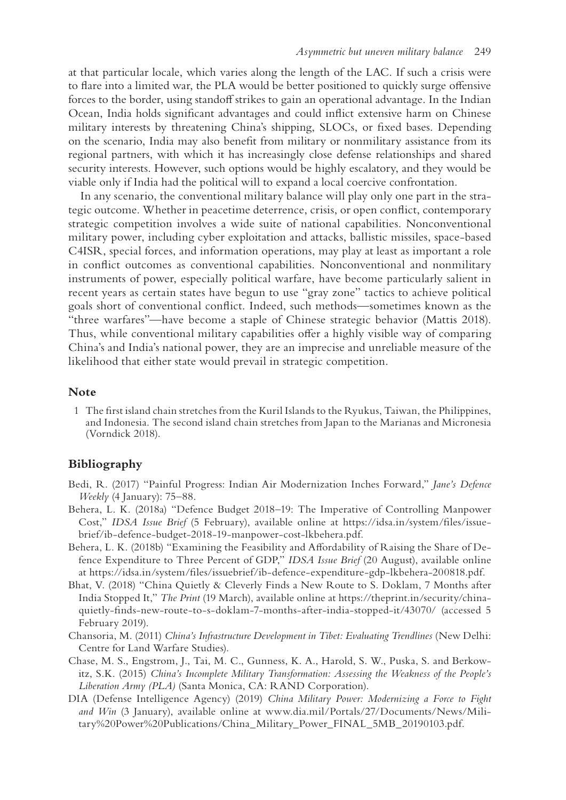<span id="page-9-0"></span>at that particular locale, which varies along the length of the LAC. If such a crisis were to flare into a limited war, the PLA would be better positioned to quickly surge offensive forces to the border, using standoff strikes to gain an operational advantage. In the Indian Ocean, India holds significant advantages and could inflict extensive harm on Chinese military interests by threatening China's shipping, SLOCs, or fixed bases. Depending on the scenario, India may also benefit from military or nonmilitary assistance from its regional partners, with which it has increasingly close defense relationships and shared security interests. However, such options would be highly escalatory, and they would be viable only if India had the political will to expand a local coercive confrontation.

In any scenario, the conventional military balance will play only one part in the strategic outcome. Whether in peacetime deterrence, crisis, or open conflict, contemporary strategic competition involves a wide suite of national capabilities. Nonconventional military power, including cyber exploitation and attacks, ballistic missiles, space-based C4ISR, special forces, and information operations, may play at least as important a role in conflict outcomes as conventional capabilities. Nonconventional and nonmilitary instruments of power, especially political warfare, have become particularly salient in recent years as certain states have begun to use "gray zone" tactics to achieve political goals short of conventional conflict. Indeed, such methods—sometimes known as the "three warfares"—have become a staple of Chinese strategic behavior (Mattis 2018). Thus, while conventional military capabilities offer a highly visible way of comparing China's and India's national power, they are an imprecise and unreliable measure of the likelihood that either state would prevail in strategic competition.

## **Note**

[1](#page-0-0) The first island chain stretches from the Kuril Islands to the Ryukus, Taiwan, the Philippines, and Indonesia. The second island chain stretches from Japan to the Marianas and Micronesia (Vorndick 2018).

# **Bibliography**

- Bedi, R. (2017) "Painful Progress: Indian Air Modernization Inches Forward," *Jane's Defence Weekly* (4 January): 75–88.
- Behera, L. K. (2018a) "Defence Budget 2018–19: The Imperative of Controlling Manpower Cost," *IDSA Issue Brief* (5 February), available online at [https://idsa.in/system/files/issue](https://idsa.in)[brief/ib-defence-budget-2018-19-manpower-cost-lkbehera.pdf.](https://idsa.in)
- Behera, L. K. (2018b) "Examining the Feasibility and Affordability of Raising the Share of Defence Expenditure to Three Percent of GDP," *IDSA Issue Brief* (20 August), available online at [https://idsa.in/system/files/issuebrief/ib-defence-expenditure-gdp-lkbehera-200818.pdf](https://idsa.in).
- Bhat, V. (2018) "China Quietly & Cleverly Finds a New Route to S. Doklam, 7 Months after India Stopped It," *The Print* (19 March), available online at [https://theprint.in/security/ china](https://theprint.in)[quietly-finds-new-route-to-s-doklam-7-months-after-india-stopped-it/43070/](https://theprint.in) (accessed 5 February 2019).
- Chansoria, M. (2011) *China's Infrastructure Development in Tibet: Evaluating Trendlines* (New Delhi: Centre for Land Warfare Studies).
- Chase, M. S., Engstrom, J., Tai, M. C., Gunness, K. A., Harold, S. W., Puska, S. and Berkowitz, S.K. (2015) *China's Incomplete Military Transformation: Assessing the Weakness of the People's Liberation Army (PLA)* (Santa Monica, CA: RAND Corporation).
- DIA (Defense Intelligence Agency) (2019) *China Military Power: Modernizing a Force to Fight and Win* (3 January), available online at [www.dia.mil/Portals/27/Documents/News/Mili](http://www.dia.mil)[tary%20Power%20Publications/China\\_Military\\_Power\\_FINAL\\_5MB\\_20190103.pdf.](http://www.dia.mil)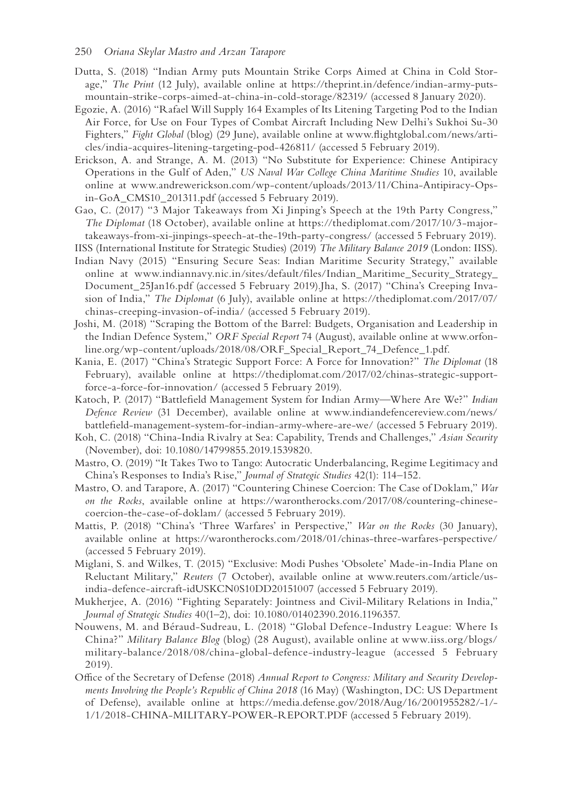#### 250 *Oriana Skylar Mastro and Arzan Tarapore*

- Dutta, S. (2018) "Indian Army puts Mountain Strike Corps Aimed at China in Cold Storage," *The Print* (12 July), available online at [https://theprint.in/defence/indian-army-puts](https://theprint.in)[mountain-strike-corps-aimed-at-china-in-cold-storage/82319/ \(](https://theprint.in)accessed 8 January 2020).
- Egozie, A. (2016) "Rafael Will Supply 164 Examples of Its Litening Targeting Pod to the Indian Air Force, for Use on Four Types of Combat Aircraft Including New Delhi's Sukhoi Su-30 Fighters," *Fight Global* (blog) (29 June), available online at [www.flightglobal.com/news/arti](http://www.flightglobal.com)[cles/india-acquires-litening-targeting-pod-426811/ \(](http://www.flightglobal.com)accessed 5 February 2019).
- Erickson, A. and Strange, A. M. (2013) "No Substitute for Experience: Chinese Antipiracy Operations in the Gulf of Aden," *US Naval War College China Maritime Studies* 10, available online at [www.andrewerickson.com/wp-content/uploads/2013/11/China-Antipiracy-Ops](http://www.andrewerickson.com)[in-GoA\\_CMS10\\_201311.pdf](http://www.andrewerickson.com) (accessed 5 February 2019).
- Gao, C. (2017) "3 Major Takeaways from Xi Jinping's Speech at the 19th Party Congress," *The Diplomat* (18 October), available online at [https://thediplomat.com/2017/10/3-major](https://thediplomat.com)[takeaways-from-xi-jinpings-speech-at-the-19th-party-congress/ \(](https://thediplomat.com)accessed 5 February 2019).
- IISS (International Institute for Strategic Studies) (2019) *The Military Balance 2019* (London: IISS). Indian Navy (2015) "Ensuring Secure Seas: Indian Maritime Security Strategy," available online at [www.indiannavy.nic.in/sites/default/files/Indian\\_Maritime\\_Security\\_Strategy\\_](http://www.indiannavy.nic.in) [Document\\_25Jan16.pdf](http://www.indiannavy.nic.in) (accessed 5 February 2019).Jha, S. (2017) "China's Creeping Invasion of India," *The Diplomat* (6 July), available online at [https://thediplomat.com/2017/07/](https://thediplomat.com) [chinas-creeping-invasion-of-india/ \(](https://thediplomat.com)accessed 5 February 2019).
- Joshi, M. (2018) "Scraping the Bottom of the Barrel: Budgets, Organisation and Leadership in the Indian Defence System," *ORF Special Report* 74 (August), available online at [www.orfon](http://www.orfon-line.org)[line.org/wp-content/uploads/2018/08/ORF\\_Special\\_Report\\_74\\_Defence\\_1.pdf.](http://www.orfon-line.org)
- Kania, E. (2017) "China's Strategic Support Force: A Force for Innovation?" *The Diplomat* (18 February), available online at [https://thediplomat.com/2017/02/chinas-strategic-support](https://thediplomat.com)[force-a-force-for-innovation/ \(](https://thediplomat.com)accessed 5 February 2019).
- Katoch, P. (2017) "Battlefield Management System for Indian Army—Where Are We?" *Indian Defence Review* (31 December), available online at [www.indiandefencereview.com/news/](http://www.indiandefencereview.com) [battlefield-management-system-for-indian-army-where-are-we/](http://www.indiandefencereview.com) (accessed 5 February 2019).
- Koh, C. (2018) "China-India Rivalry at Sea: Capability, Trends and Challenges," *Asian Security* (November), doi: 10.1080/14799855.2019.1539820.
- Mastro, O. (2019) "It Takes Two to Tango: Autocratic Underbalancing, Regime Legitimacy and China's Responses to India's Rise," *Journal of Strategic Studies* 42(1): 114–152.
- Mastro, O. and Tarapore, A. (2017) "Countering Chinese Coercion: The Case of Doklam," *War on the Rocks*, available online at [https://warontherocks.com/2017/08/countering-chinese](https://warontherocks.com)[coercion-the-case-of-doklam/ \(](https://warontherocks.com)accessed 5 February 2019).
- Mattis, P. (2018) "China's 'Three Warfares' in Perspective," *War on the Rocks* (30 January), available online at [https://warontherocks.com/2018/01/chinas-three-warfares-perspective/](https://warontherocks.com)  (accessed 5 February 2019).
- Miglani, S. and Wilkes, T. (2015) "Exclusive: Modi Pushes 'Obsolete' Made-in-India Plane on Reluctant Military," *Reuters* (7 October), available online at [www.reuters.com/article/us](http://www.reuters.com)[india-defence-aircraft-idUSKCN0S10DD20151007](http://www.reuters.com) (accessed 5 February 2019).
- Mukherjee, A. (2016) "Fighting Separately: Jointness and Civil-Military Relations in India," *Journal of Strategic Studies* 40(1–2), doi: 10.1080/01402390.2016.1196357.
- Nouwens, M. and Béraud-Sudreau, L. (2018) "Global Defence-Industry League: Where Is China?" *Military Balance Blog* (blog) (28 August), available online at [www.iiss.org/blogs/](http://www.iiss.org) [military-balance/2018/08/china-global-defence-industry-league](http://www.iiss.org) (accessed 5 February 2019).
- Office of the Secretary of Defense (2018) *Annual Report to Congress: Military and Security Developments Involving the People's Republic of China 2018* (16 May) (Washington, DC: US Department of Defense), available online at [https://media.defense.gov/2018/Aug/16/2001955282/-1/-](https://media.defense.gov) [1/1/2018-CHINA-MILITARY-POWER-REPORT.PDF](https://media.defense.gov) (accessed 5 February 2019).